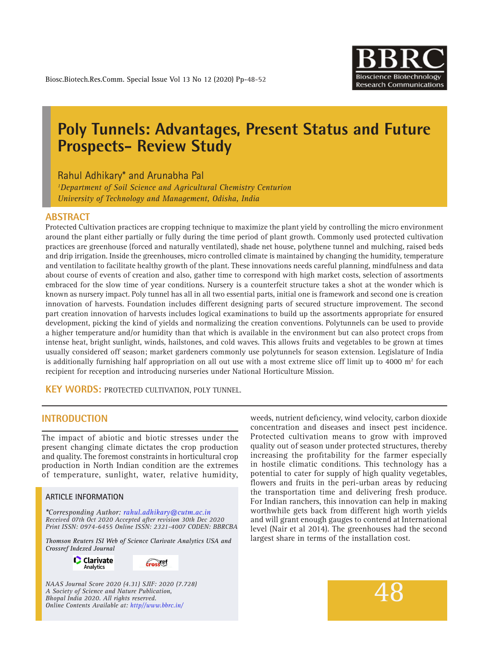

# **Poly Tunnels: Advantages, Present Status and Future Prospects- Review Study**

Rahul Adhikary\* and Arunabha Pal

*1 Department of Soil Science and Agricultural Chemistry Centurion University of Technology and Management, Odisha, India*

## **ABSTRACT**

Protected Cultivation practices are cropping technique to maximize the plant yield by controlling the micro environment around the plant either partially or fully during the time period of plant growth. Commonly used protected cultivation practices are greenhouse (forced and naturally ventilated), shade net house, polythene tunnel and mulching, raised beds and drip irrigation. Inside the greenhouses, micro controlled climate is maintained by changing the humidity, temperature and ventilation to facilitate healthy growth of the plant. These innovations needs careful planning, mindfulness and data about course of events of creation and also, gather time to correspond with high market costs, selection of assortments embraced for the slow time of year conditions. Nursery is a counterfeit structure takes a shot at the wonder which is known as nursery impact. Poly tunnel has all in all two essential parts, initial one is framework and second one is creation innovation of harvests. Foundation includes different designing parts of secured structure improvement. The second part creation innovation of harvests includes logical examinations to build up the assortments appropriate for ensured development, picking the kind of yields and normalizing the creation conventions. Polytunnels can be used to provide a higher temperature and/or humidity than that which is available in the environment but can also protect crops from intense heat, bright sunlight, winds, hailstones, and cold waves. This allows fruits and vegetables to be grown at times usually considered off season; market gardeners commonly use polytunnels for season extension. Legislature of India is additionally furnishing half appropriation on all out use with a most extreme slice off limit up to 4000  $\mathrm{m}^2$  for each recipient for reception and introducing nurseries under National Horticulture Mission.

**KEY WORDS:** Protected cultivation, poly tunnel.

## **INTRODUCTION**

The impact of abiotic and biotic stresses under the present changing climate dictates the crop production and quality. The foremost constraints in horticultural crop production in North Indian condition are the extremes of temperature, sunlight, water, relative humidity,

#### **ARTICLE INFORMATION**

*\*Corresponding Author: rahul.adhikary@cutm.ac.in Received 07th Oct 2020 Accepted after revision 30th Dec 2020 Print ISSN: 0974-6455 Online ISSN: 2321-4007 CODEN: BBRCBA*

*Thomson Reuters ISI Web of Science Clarivate Analytics USA and Crossref Indexed Journal*

> **C** Clarivate Analytics



*NAAS Journal Score 2020 (4.31) SJIF: 2020 (7.728) A Society of Science and Nature Publication, Bhopal India 2020. All rights reserved. Online Contents Available at: http//www.bbrc.in/*

weeds, nutrient deficiency, wind velocity, carbon dioxide concentration and diseases and insect pest incidence. Protected cultivation means to grow with improved quality out of season under protected structures, thereby increasing the profitability for the farmer especially in hostile climatic conditions. This technology has a potential to cater for supply of high quality vegetables, flowers and fruits in the peri-urban areas by reducing the transportation time and delivering fresh produce. For Indian ranchers, this innovation can help in making worthwhile gets back from different high worth yields and will grant enough gauges to contend at International level (Nair et al 2014). The greenhouses had the second largest share in terms of the installation cost.

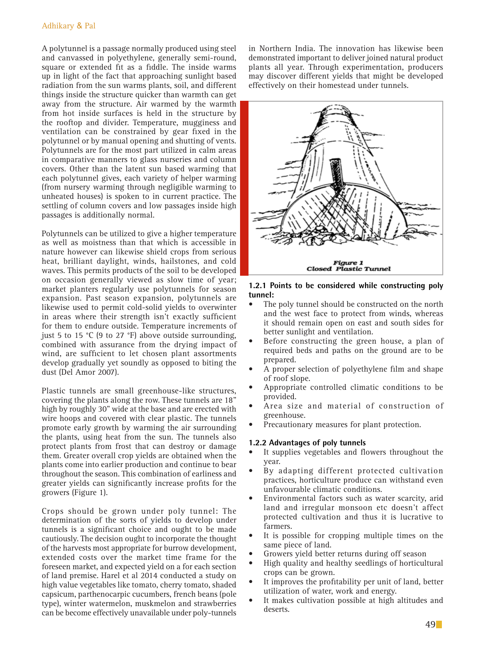A polytunnel is a passage normally produced using steel and canvassed in polyethylene, generally semi-round, square or extended fit as a fiddle. The inside warms up in light of the fact that approaching sunlight based radiation from the sun warms plants, soil, and different things inside the structure quicker than warmth can get away from the structure. Air warmed by the warmth from hot inside surfaces is held in the structure by the rooftop and divider. Temperature, mugginess and ventilation can be constrained by gear fixed in the polytunnel or by manual opening and shutting of vents. Polytunnels are for the most part utilized in calm areas in comparative manners to glass nurseries and column covers. Other than the latent sun based warming that each polytunnel gives, each variety of helper warming (from nursery warming through negligible warming to unheated houses) is spoken to in current practice. The settling of column covers and low passages inside high passages is additionally normal.

Polytunnels can be utilized to give a higher temperature as well as moistness than that which is accessible in nature however can likewise shield crops from serious heat, brilliant daylight, winds, hailstones, and cold waves. This permits products of the soil to be developed on occasion generally viewed as slow time of year; market planters regularly use polytunnels for season expansion. Past season expansion, polytunnels are likewise used to permit cold-solid yields to overwinter in areas where their strength isn't exactly sufficient for them to endure outside. Temperature increments of just 5 to 15 °C (9 to 27 °F) above outside surrounding, combined with assurance from the drying impact of wind, are sufficient to let chosen plant assortments develop gradually yet soundly as opposed to biting the dust (Del Amor 2007).

Plastic tunnels are small greenhouse-like structures, covering the plants along the row. These tunnels are 18" high by roughly 30" wide at the base and are erected with wire hoops and covered with clear plastic. The tunnels promote early growth by warming the air surrounding the plants, using heat from the sun. The tunnels also protect plants from frost that can destroy or damage them. Greater overall crop yields are obtained when the plants come into earlier production and continue to bear throughout the season. This combination of earliness and greater yields can significantly increase profits for the growers (Figure 1).

Crops should be grown under poly tunnel: The determination of the sorts of yields to develop under tunnels is a significant choice and ought to be made cautiously. The decision ought to incorporate the thought of the harvests most appropriate for burrow development, extended costs over the market time frame for the foreseen market, and expected yield on a for each section of land premise. Harel et al 2014 conducted a study on high value vegetables like tomato, cherry tomato, shaded capsicum, parthenocarpic cucumbers, french beans (pole type), winter watermelon, muskmelon and strawberries can be become effectively unavailable under poly-tunnels

in Northern India. The innovation has likewise been demonstrated important to deliver joined natural product plants all year. Through experimentation, producers may discover different yields that might be developed effectively on their homestead under tunnels.



#### **1.2.1 Points to be considered while constructing poly tunnel:**

- The poly tunnel should be constructed on the north and the west face to protect from winds, whereas it should remain open on east and south sides for better sunlight and ventilation.
- Before constructing the green house, a plan of required beds and paths on the ground are to be prepared.
- A proper selection of polyethylene film and shape of roof slope.
- Appropriate controlled climatic conditions to be provided.
- Area size and material of construction of greenhouse.
- Precautionary measures for plant protection.

## **1.2.2 Advantages of poly tunnels**

- It supplies vegetables and flowers throughout the year.
- By adapting different protected cultivation practices, horticulture produce can withstand even unfavourable climatic conditions.
- Environmental factors such as water scarcity, arid land and irregular monsoon etc doesn't affect protected cultivation and thus it is lucrative to farmers.
- It is possible for cropping multiple times on the same piece of land.
- Growers yield better returns during off season
- High quality and healthy seedlings of horticultural crops can be grown.
- It improves the profitability per unit of land, better utilization of water, work and energy.
- It makes cultivation possible at high altitudes and deserts.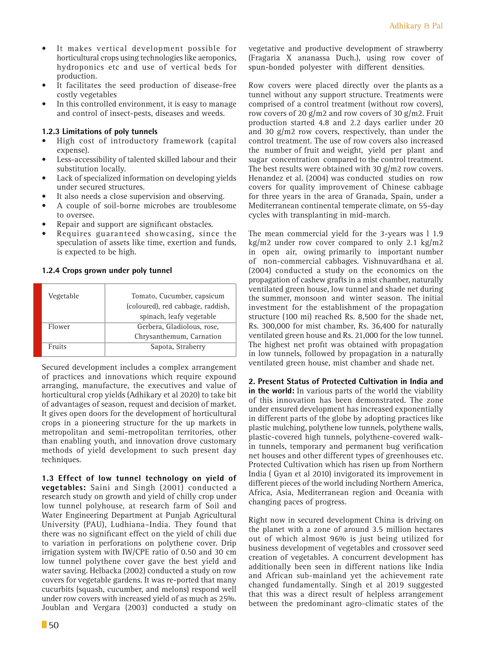- • It makes vertical development possible for horticultural crops using technologies like aeroponics, hydroponics etc and use of vertical beds for production.
- It facilitates the seed production of disease-free costly vegetables
- In this controlled environment, it is easy to manage and control of insect-pests, diseases and weeds.

## **1.2.3 Limitations of poly tunnels**

- High cost of introductory framework (capital expense).
- • Less-accessibility of talented skilled labour and their substitution locally.
- • Lack of specialized information on developing yields under secured structures.
- It also needs a close supervision and observing.
- A couple of soil-borne microbes are troublesome to oversee.
- Repair and support are significant obstacles.
- Requires guaranteed showcasing, since the speculation of assets like time, exertion and funds, is expected to be high.

#### **1.2.4 Crops grown under poly tunnel**

| Vegetable | Tomato, Cucumber, capsicum        |
|-----------|-----------------------------------|
|           | (coloured), red cabbage, raddish, |
|           | spinach, leafy vegetable          |
| Flower    | Gerbera, Gladiolous, rose,        |
|           | Chrysanthemum, Carnation          |
| Fruits    | Sapota, Straberry                 |
|           |                                   |

Secured development includes a complex arrangement of practices and innovations which require expound arranging, manufacture, the executives and value of horticultural crop yields (Adhikary et al 2020) to take bit of advantages of season, request and decision of market. It gives open doors for the development of horticultural crops in a pioneering structure for the up markets in metropolitan and semi-metropolitan territories, other than enabling youth, and innovation drove customary methods of yield development to such present day techniques.

**1.3 Effect of low tunnel technology on yield of vegetables:** Saini and Singh (2001) conducted a research study on growth and yield of chilly crop under low tunnel polyhouse, at research farm of Soil and Water Engineering Department at Punjab Agricultural University (PAU), Ludhiana–India. They found that there was no significant effect on the yield of chili due to variation in perforations on polythene cover. Drip irrigation system with IW/CPE ratio of 0.50 and 30 cm low tunnel polythene cover gave the best yield and water saving. Helbacka (2002) conducted a study on row covers for vegetable gardens. It was re-ported that many cucurbits (squash, cucumber, and melons) respond well under row covers with increased yield of as much as 25%. Joublan and Vergara (2003) conducted a study on

Row covers were placed directly over the plants as a tunnel without any support structure. Treatments were comprised of a control treatment (without row covers), row covers of 20  $g/m2$  and row covers of 30  $g/m2$ . Fruit production started 4.8 and 2.2 days earlier under 20 and 30  $g/m2$  row covers, respectively, than under the control treatment. The use of row covers also increased the number of fruit and weight, yield per plant and sugar concentration compared to the control treatment. The best results were obtained with 30 g/m2 row covers. Henandez et al. (2004) was conducted studies on row covers for quality improvement of Chinese cabbage for three years in the area of Granada, Spain, under a Mediterranean continental temperate climate, on 55-day cycles with transplanting in mid-march.

The mean commercial yield for the 3-years was l 1.9 kg/m2 under row cover compared to only 2.1 kg/m2 in open air, owing primarily to important number of non-commercial cabbages. Vishnuvardhana et al. (2004) conducted a study on the economics on the propagation of cashew grafts in a mist chamber, naturally ventilated green house, low tunnel and shade net during the summer, monsoon and winter season. The initial investment for the establishment of the propagation structure (100 mi) reached Rs. 8,500 for the shade net, Rs. 300,000 for mist chamber, Rs. 36,400 for naturally ventilated green house and Rs. 21,000 for the low tunnel. The highest net profit was obtained with propagation in low tunnels, followed by propagation in a naturally ventilated green house, mist chamber and shade net.

**2. Present Status of Protected Cultivation in India and in the world:** In various parts of the world the viability of this innovation has been demonstrated. The zone under ensured development has increased exponentially in different parts of the globe by adopting practices like plastic mulching, polythene low tunnels, polythene walls, plastic-covered high tunnels, polythene-covered walkin tunnels, temporary and permanent bug verification net houses and other different types of greenhouses etc. Protected Cultivation which has risen up from Northern India ( Gyan et al 2010) invigorated its improvement in different pieces of the world including Northern America, Africa, Asia, Mediterranean region and Oceania with changing paces of progress.

Right now in secured development China is driving on the planet with a zone of around 3.5 million hectares out of which almost 96% is just being utilized for business development of vegetables and crossover seed creation of vegetables. A concurrent development has additionally been seen in different nations like India and African sub-mainland yet the achievement rate changed fundamentally. Singh et al 2019 suggested that this was a direct result of helpless arrangement between the predominant agro-climatic states of the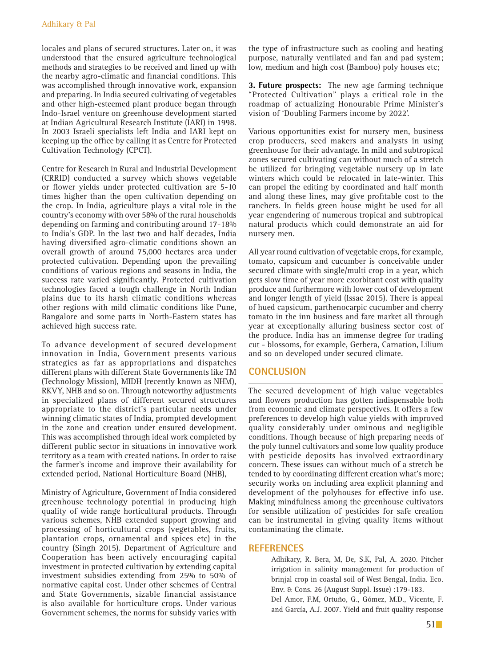locales and plans of secured structures. Later on, it was understood that the ensured agriculture technological methods and strategies to be received and lined up with the nearby agro-climatic and financial conditions. This was accomplished through innovative work, expansion and preparing. In India secured cultivating of vegetables and other high-esteemed plant produce began through Indo-Israel venture on greenhouse development started at Indian Agricultural Research Institute (IARI) in 1998. In 2003 Israeli specialists left India and IARI kept on keeping up the office by calling it as Centre for Protected Cultivation Technology (CPCT).

Centre for Research in Rural and Industrial Development (CRRID) conducted a survey which shows vegetable or flower yields under protected cultivation are 5-10 times higher than the open cultivation depending on the crop. In India, agriculture plays a vital role in the country's economy with over 58% of the rural households depending on farming and contributing around 17-18% to India's GDP. In the last two and half decades, India having diversified agro-climatic conditions shown an overall growth of around 75,000 hectares area under protected cultivation. Depending upon the prevailing conditions of various regions and seasons in India, the success rate varied significantly. Protected cultivation technologies faced a tough challenge in North Indian plains due to its harsh climatic conditions whereas other regions with mild climatic conditions like Pune, Bangalore and some parts in North-Eastern states has achieved high success rate.

To advance development of secured development innovation in India, Government presents various strategies as far as appropriations and dispatches different plans with different State Governments like TM (Technology Mission), MIDH (recently known as NHM), RKVY, NHB and so on. Through noteworthy adjustments in specialized plans of different secured structures appropriate to the district's particular needs under winning climatic states of India, prompted development in the zone and creation under ensured development. This was accomplished through ideal work completed by different public sector in situations in innovative work territory as a team with created nations. In order to raise the farmer's income and improve their availability for extended period, National Horticulture Board (NHB),

Ministry of Agriculture, Government of India considered greenhouse technology potential in producing high quality of wide range horticultural products. Through various schemes, NHB extended support growing and processing of horticultural crops (vegetables, fruits, plantation crops, ornamental and spices etc) in the country (Singh 2015). Department of Agriculture and Cooperation has been actively encouraging capital investment in protected cultivation by extending capital investment subsidies extending from 25% to 50% of normative capital cost. Under other schemes of Central and State Governments, sizable financial assistance is also available for horticulture crops. Under various Government schemes, the norms for subsidy varies with

the type of infrastructure such as cooling and heating purpose, naturally ventilated and fan and pad system; low, medium and high cost (Bamboo) poly houses etc;

**3. Future prospects:** The new age farming technique "Protected Cultivation" plays a critical role in the roadmap of actualizing Honourable Prime Minister's vision of 'Doubling Farmers income by 2022'.

Various opportunities exist for nursery men, business crop producers, seed makers and analysts in using greenhouse for their advantage. In mild and subtropical zones secured cultivating can without much of a stretch be utilized for bringing vegetable nursery up in late winters which could be relocated in late-winter. This can propel the editing by coordinated and half month and along these lines, may give profitable cost to the ranchers. In fields green house might be used for all year engendering of numerous tropical and subtropical natural products which could demonstrate an aid for nursery men.

All year round cultivation of vegetable crops, for example, tomato, capsicum and cucumber is conceivable under secured climate with single/multi crop in a year, which gets slow time of year more exorbitant cost with quality produce and furthermore with lower cost of development and longer length of yield (Issac 2015). There is appeal of hued capsicum, parthenocarpic cucumber and cherry tomato in the inn business and fare market all through year at exceptionally alluring business sector cost of the produce. India has an immense degree for trading cut - blossoms, for example, Gerbera, Carnation, Lilium and so on developed under secured climate.

## **Conclusion**

The secured development of high value vegetables and flowers production has gotten indispensable both from economic and climate perspectives. It offers a few preferences to develop high value yields with improved quality considerably under ominous and negligible conditions. Though because of high preparing needs of the poly tunnel cultivators and some low quality produce with pesticide deposits has involved extraordinary concern. These issues can without much of a stretch be tended to by coordinating different creation what's more; security works on including area explicit planning and development of the polyhouses for effective info use. Making mindfulness among the greenhouse cultivators for sensible utilization of pesticides for safe creation can be instrumental in giving quality items without contaminating the climate.

## **References**

 Adhikary, R. Bera, M, De, S.K, Pal, A. 2020. Pitcher irrigation in salinity management for production of brinjal crop in coastal soil of West Bengal, India. Eco. Env. & Cons. 26 (August Suppl. Issue) :179-183.

 Del Amor, F.M, Ortuño, G., Gómez, M.D., Vicente, F. and García, A.J. 2007. Yield and fruit quality response